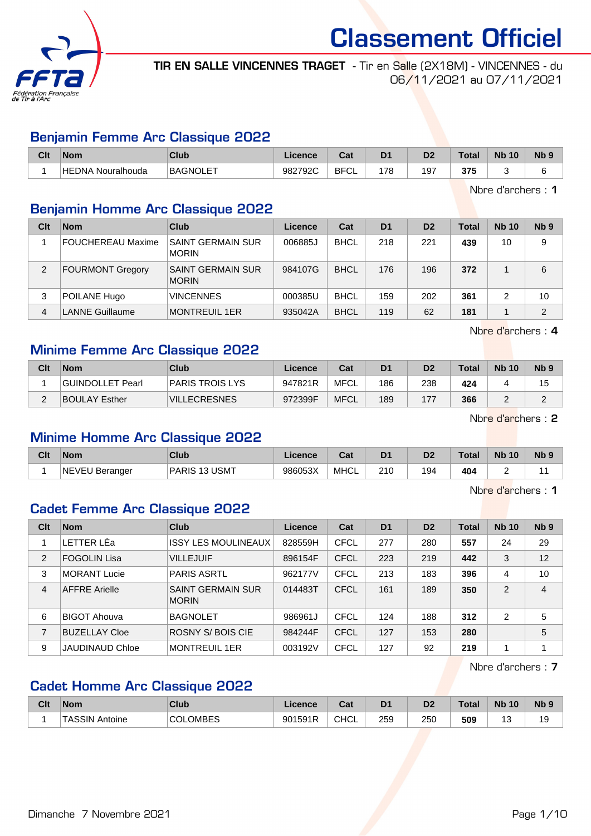

TIR EN SALLE VINCENNES TRAGET - Tir en Salle (2X18M) - VINCENNES - du 06/11/2021 au 07/11/2021

### Benjamin Femme Arc Classique 2022

| Clt | <b>Nom</b>                  | Club            | Licence | Tak.<br>ua       | D <sub>1</sub> | D <sub>o</sub><br>υ, | ™ota. | <b>Nb</b><br>10 | Nb f |
|-----|-----------------------------|-----------------|---------|------------------|----------------|----------------------|-------|-----------------|------|
|     | Nouralhouda<br><b>HEDNA</b> | <b>BAGNOLET</b> | 982792C | <b>BFC</b><br>◡∟ | 7c             | 97ء                  | 375   |                 |      |

Nbre d'archers : 1

## Benjamin Homme Arc Classique 2022

| Clt | <b>Nom</b>               | Club                                     | Licence | Cat         | D <sub>1</sub> | D <sub>2</sub> | Total | <b>Nb 10</b> | N <sub>b</sub> <sub>9</sub> |
|-----|--------------------------|------------------------------------------|---------|-------------|----------------|----------------|-------|--------------|-----------------------------|
|     | <b>FOUCHEREAU Maxime</b> | <b>SAINT GERMAIN SUR</b><br><b>MORIN</b> | 006885J | <b>BHCL</b> | 218            | 221            | 439   | 10           | 9                           |
| 2   | <b>FOURMONT Gregory</b>  | <b>SAINT GERMAIN SUR</b><br><b>MORIN</b> | 984107G | <b>BHCL</b> | 176            | 196            | 372   |              | 6                           |
| 3   | POILANE Hugo             | <b>VINCENNES</b>                         | 000385U | <b>BHCL</b> | 159            | 202            | 361   |              | 10                          |
| 4   | <b>LANNE Guillaume</b>   | <b>MONTREUIL 1ER</b>                     | 935042A | <b>BHCL</b> | 119            | 62             | 181   |              | C                           |

Nbre d'archers : 4

### Minime Femme Arc Classique 2022

| Clt    | <b>Nom</b>           | <b>Club</b>         | Licence | Cat         | D <sub>1</sub> | D <sub>2</sub> | Total | <b>Nb 10</b> | N <sub>b</sub> <sub>9</sub> |
|--------|----------------------|---------------------|---------|-------------|----------------|----------------|-------|--------------|-----------------------------|
|        | GUINDOLLET Pearl     | 'PARIS TROIS LYS    | 947821R | MFCL        | 186            | 238            | 424   |              | 15                          |
| $\sim$ | <b>BOULAY Esther</b> | <b>VILLECRESNES</b> | 972399F | <b>MFCL</b> | 189            | 177            | 366   | -            | ⌒                           |

Nbre d'archers : 2

### Minime Homme Arc Classique 2022

| Clt | <b>Nom</b>                                                    | Club                       | icence  | ن م<br>ua   | D <sub>1</sub> | D <sub>2</sub> | Total | <b>N<sub>b</sub></b><br>10 | <b>Nb</b> |
|-----|---------------------------------------------------------------|----------------------------|---------|-------------|----------------|----------------|-------|----------------------------|-----------|
|     | <b>NEVEL</b><br>$\overline{\phantom{a}}$<br>J Berander<br>៴∟∪ | ∪SMT<br><b>PARIS</b><br>12 | 986053X | <b>MHCL</b> | 210<br>__      | 194            | 404   |                            |           |

Nbre d'archers : 1

## Cadet Femme Arc Classique 2022

| Clt | <b>Nom</b>             | Club                                     | Licence | Cat         | D <sub>1</sub> | D <sub>2</sub> | <b>Total</b> | <b>Nb 10</b>  | Nb <sub>9</sub> |
|-----|------------------------|------------------------------------------|---------|-------------|----------------|----------------|--------------|---------------|-----------------|
|     | LETTER LÉa             | <b>ISSY LES MOULINEAUX</b>               | 828559H | <b>CFCL</b> | 277            | 280            | 557          | 24            | 29              |
| 2   | <b>FOGOLIN Lisa</b>    | <b>VILLEJUIF</b>                         | 896154F | <b>CFCL</b> | 223            | 219            | 442          | 3             | 12              |
| 3   | <b>MORANT Lucie</b>    | <b>PARIS ASRTL</b>                       | 962177V | <b>CFCL</b> | 213            | 183            | 396          | 4             | 10              |
| 4   | <b>AFFRE</b> Arielle   | <b>SAINT GERMAIN SUR</b><br><b>MORIN</b> | 014483T | <b>CFCL</b> | 161            | 189            | 350          | 2             | 4               |
| 6   | <b>BIGOT Ahouva</b>    | <b>BAGNOLET</b>                          | 986961J | CFCL        | 124            | 188            | 312          | $\mathcal{P}$ | 5               |
| 7   | <b>BUZELLAY Cloe</b>   | ROSNY S/BOIS CIE                         | 984244F | <b>CFCL</b> | 127            | 153            | 280          |               | 5               |
| 9   | <b>JAUDINAUD Chloe</b> | <b>MONTREUIL 1ER</b>                     | 003192V | <b>CFCL</b> | 127            | 92             | 219          | 1             |                 |

Nbre d'archers : 7

## Cadet Homme Arc Classique 2022

| Clt | Nom                  | Club         | Licence | ∩~∙<br>ual  | D <sub>1</sub> | D <sub>0</sub><br>D7 | Total | <b>Nb</b><br>10 | <b>Nb</b> |
|-----|----------------------|--------------|---------|-------------|----------------|----------------------|-------|-----------------|-----------|
|     | `ΤASSIN .<br>Antoine | OMBES<br>COL | 901591R | <b>CHCL</b> | 259<br>$ -$    | 250<br>$\sim$        | 509   | ັ<br>$\sim$     | ت ا       |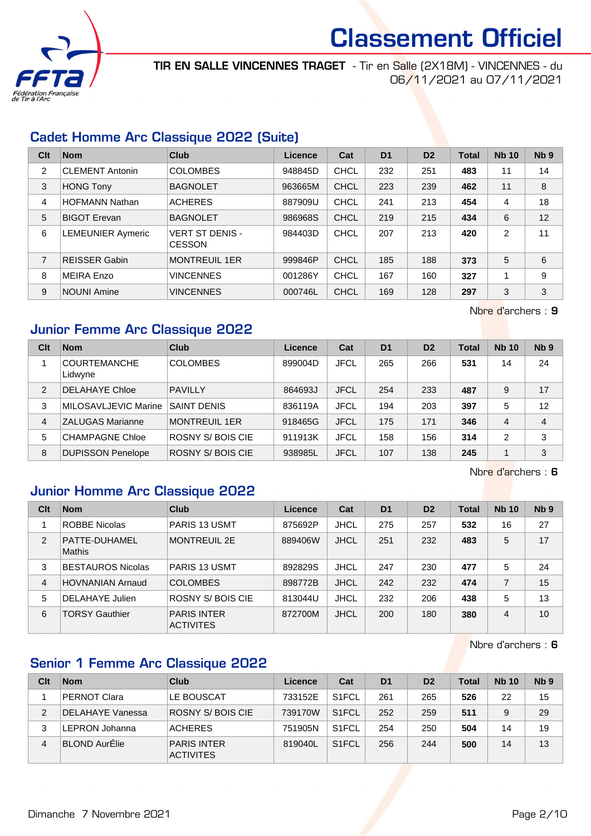

TIR EN SALLE VINCENNES TRAGET - Tir en Salle (2X18M) - VINCENNES - du 06/11/2021 au 07/11/2021

## Cadet Homme Arc Classique 2022 (Suite)

| Clt            | <b>Nom</b>               | <b>Club</b>                             | Licence | Cat         | D <sub>1</sub> | D <sub>2</sub> | <b>Total</b> | <b>Nb 10</b> | Nb <sub>9</sub> |
|----------------|--------------------------|-----------------------------------------|---------|-------------|----------------|----------------|--------------|--------------|-----------------|
| 2              | <b>CLEMENT Antonin</b>   | <b>COLOMBES</b>                         | 948845D | CHCL        | 232            | 251            | 483          | 11           | 14              |
| 3              | <b>HONG Tony</b>         | <b>BAGNOLET</b>                         | 963665M | CHCL        | 223            | 239            | 462          | 11           | 8               |
| 4              | <b>HOFMANN Nathan</b>    | <b>ACHERES</b>                          | 887909U | <b>CHCL</b> | 241            | 213            | 454          | 4            | 18              |
| 5              | <b>BIGOT Erevan</b>      | <b>BAGNOLET</b>                         | 986968S | CHCL        | 219            | 215            | 434          | 6            | 12              |
| 6              | <b>LEMEUNIER Aymeric</b> | <b>VERT ST DENIS -</b><br><b>CESSON</b> | 984403D | <b>CHCL</b> | 207            | 213            | 420          | 2            | 11              |
| $\overline{7}$ | <b>REISSER Gabin</b>     | <b>MONTREUIL 1ER</b>                    | 999846P | CHCL        | 185            | 188            | 373          | 5            | 6               |
| 8              | <b>MEIRA Enzo</b>        | <b>VINCENNES</b>                        | 001286Y | CHCL        | 167            | 160            | 327          | 1            | 9               |
| 9              | <b>NOUNI Amine</b>       | <b>VINCENNES</b>                        | 000746L | <b>CHCL</b> | 169            | 128            | 297          | 3            | 3               |

Nbre d'archers : 9

## Junior Femme Arc Classique 2022

| Clt           | <b>Nom</b>                     | Club                 | Licence | Cat         | D <sub>1</sub> | D <sub>2</sub> | <b>Total</b> | <b>Nb 10</b>   | Nb <sub>9</sub> |
|---------------|--------------------------------|----------------------|---------|-------------|----------------|----------------|--------------|----------------|-----------------|
|               | <b>COURTEMANCHE</b><br>Lidwyne | <b>COLOMBES</b>      | 899004D | <b>JFCL</b> | 265            | 266            | 531          | 14             | 24              |
| $\mathcal{P}$ | <b>DELAHAYE Chloe</b>          | <b>PAVILLY</b>       | 864693J | <b>JFCL</b> | 254            | 233            | 487          | 9              | 17              |
| 3             | MILOSAVLJEVIC Marine           | <b>SAINT DENIS</b>   | 836119A | <b>JFCL</b> | 194            | 203            | 397          | 5              | 12              |
| 4             | <b>ZALUGAS Marianne</b>        | <b>MONTREUIL 1ER</b> | 918465G | <b>JFCL</b> | 175            | 171            | 346          | 4              | 4               |
| 5             | <b>CHAMPAGNE Chloe</b>         | ROSNY S/BOIS CIE     | 911913K | <b>JFCL</b> | 158            | 156            | 314          | $\overline{2}$ | 3               |
| 8             | <b>DUPISSON Penelope</b>       | ROSNY S/BOIS CIE     | 938985L | <b>JFCL</b> | 107            | 138            | 245          |                | 3               |

Nbre d'archers : 6

#### Junior Homme Arc Classique 2022

| Clt            | <b>Nom</b>               | Club                                   | Licence | Cat         | D <sub>1</sub> | D <sub>2</sub> | <b>Total</b> | <b>Nb 10</b> | N <sub>b</sub> <sub>9</sub> |
|----------------|--------------------------|----------------------------------------|---------|-------------|----------------|----------------|--------------|--------------|-----------------------------|
|                | <b>ROBBE Nicolas</b>     | <b>PARIS 13 USMT</b>                   | 875692P | <b>JHCL</b> | 275            | 257            | 532          | 16           | 27                          |
| 2              | PATTE-DUHAMEL<br>Mathis  | <b>MONTREUIL 2E</b>                    | 889406W | <b>JHCL</b> | 251            | 232            | 483          | 5            | 17                          |
| 3              | <b>BESTAUROS Nicolas</b> | <b>PARIS 13 USMT</b>                   | 892829S | JHCL        | 247            | 230            | 477          | 5            | 24                          |
| $\overline{4}$ | <b>HOVNANIAN Arnaud</b>  | <b>COLOMBES</b>                        | 898772B | <b>JHCL</b> | 242            | 232            | 474          | 7            | 15                          |
| 5              | DELAHAYE Julien          | <b>ROSNY S/BOIS CIE</b>                | 813044U | <b>JHCL</b> | 232            | 206            | 438          | 5            | 13                          |
| 6              | <b>TORSY Gauthier</b>    | <b>PARIS INTER</b><br><b>ACTIVITES</b> | 872700M | <b>JHCL</b> | 200            | 180            | 380          | 4            | 10                          |

Nbre d'archers : 6

## Senior 1 Femme Arc Classique 2022

| Clt | <b>Nom</b>           | Club                                   | Licence | Cat                | D <sub>1</sub> | D <sub>2</sub> | Total | <b>Nb 10</b> | Nb <sub>9</sub> |
|-----|----------------------|----------------------------------------|---------|--------------------|----------------|----------------|-------|--------------|-----------------|
|     | PERNOT Clara         | LE BOUSCAT                             | 733152E | S <sub>1</sub> FCL | 261            | 265            | 526   | 22           | 15              |
|     | DELAHAYE Vanessa     | <b>ROSNY S/BOIS CIE</b>                | 739170W | S <sub>1</sub> FCL | 252            | 259            | 511   | 9            | 29              |
| 3   | LEPRON Johanna       | <b>ACHERES</b>                         | 751905N | S <sub>1</sub> FCL | 254            | 250            | 504   | 14           | 19              |
| 4   | <b>BLOND AurÉlie</b> | <b>PARIS INTER</b><br><b>ACTIVITES</b> | 819040L | S <sub>1</sub> FCL | 256            | 244            | 500   | 14           | 13              |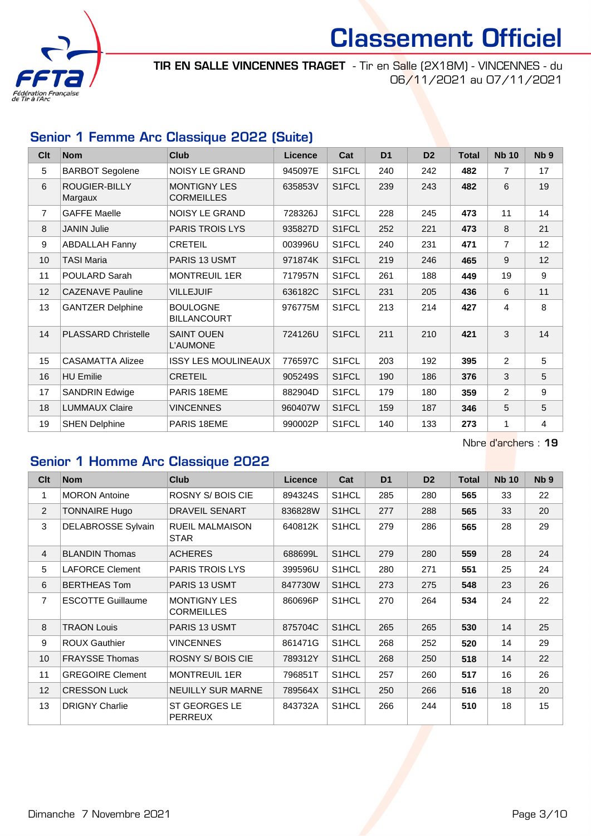

TIR EN SALLE VINCENNES TRAGET - Tir en Salle (2X18M) - VINCENNES - du 06/11/2021 au 07/11/2021

## Senior 1 Femme Arc Classique 2022 (Suite)

| Clt            | <b>Nom</b>                 | <b>Club</b>                              | <b>Licence</b> | Cat                | D <sub>1</sub> | D <sub>2</sub> | <b>Total</b> | <b>Nb 10</b>   | Nb <sub>9</sub> |
|----------------|----------------------------|------------------------------------------|----------------|--------------------|----------------|----------------|--------------|----------------|-----------------|
| 5              | <b>BARBOT Segolene</b>     | <b>NOISY LE GRAND</b>                    | 945097E        | S1FCL              | 240            | 242            | 482          | $\overline{7}$ | 17              |
| 6              | ROUGIER-BILLY<br>Margaux   | <b>MONTIGNY LES</b><br><b>CORMEILLES</b> | 635853V        | S1FCL              | 239            | 243            | 482          | 6              | 19              |
| $\overline{7}$ | <b>GAFFE Maelle</b>        | <b>NOISY LE GRAND</b>                    | 728326J        | S1FCL              | 228            | 245            | 473          | 11             | 14              |
| 8              | <b>JANIN Julie</b>         | PARIS TROIS LYS                          | 935827D        | S1FCL              | 252            | 221            | 473          | 8              | 21              |
| 9              | <b>ABDALLAH Fanny</b>      | <b>CRETEIL</b>                           | 003996U        | S1FCL              | 240            | 231            | 471          | $\overline{7}$ | 12              |
| 10             | <b>TASI Maria</b>          | PARIS 13 USMT                            | 971874K        | S <sub>1</sub> FCL | 219            | 246            | 465          | 9              | 12              |
| 11             | POULARD Sarah              | <b>MONTREUIL 1ER</b>                     | 717957N        | S1FCL              | 261            | 188            | 449          | 19             | 9               |
| 12             | <b>CAZENAVE Pauline</b>    | <b>VILLEJUIF</b>                         | 636182C        | S1FCL              | 231            | 205            | 436          | 6              | 11              |
| 13             | <b>GANTZER Delphine</b>    | <b>BOULOGNE</b><br><b>BILLANCOURT</b>    | 976775M        | S1FCL              | 213            | 214            | 427          | 4              | 8               |
| 14             | <b>PLASSARD Christelle</b> | <b>SAINT OUEN</b><br>L'AUMONE            | 724126U        | S <sub>1</sub> FCL | 211            | 210            | 421          | 3              | 14              |
| 15             | <b>CASAMATTA Alizee</b>    | <b>ISSY LES MOULINEAUX</b>               | 776597C        | S1FCL              | 203            | 192            | 395          | 2              | 5               |
| 16             | <b>HU Emilie</b>           | <b>CRETEIL</b>                           | 905249S        | S1FCL              | 190            | 186            | 376          | 3              | 5               |
| 17             | <b>SANDRIN Edwige</b>      | PARIS 18EME                              | 882904D        | S1FCL              | 179            | 180            | 359          | $\overline{2}$ | 9               |
| 18             | <b>LUMMAUX Claire</b>      | <b>VINCENNES</b>                         | 960407W        | S1FCL              | 159            | 187            | 346          | 5              | 5               |
| 19             | <b>SHEN Delphine</b>       | PARIS 18EME                              | 990002P        | S1FCL              | 140            | 133            | 273          | 1              | $\overline{4}$  |

Nbre d'archers : 19

## Senior 1 Homme Arc Classique 2022

| Clt            | <b>Nom</b>                | <b>Club</b>                              | <b>Licence</b> | Cat                | D <sub>1</sub> | D <sub>2</sub> | <b>Total</b> | <b>Nb 10</b> | N <sub>b</sub> <sub>9</sub> |
|----------------|---------------------------|------------------------------------------|----------------|--------------------|----------------|----------------|--------------|--------------|-----------------------------|
| 1              | <b>MORON Antoine</b>      | <b>ROSNY S/BOIS CIE</b>                  | 894324S        | S1HCL              | 285            | 280            | 565          | 33           | 22                          |
| $\overline{2}$ | <b>TONNAIRE Hugo</b>      | DRAVEIL SENART                           | 836828W        | S <sub>1</sub> HCL | 277            | 288            | 565          | 33           | 20                          |
| 3              | <b>DELABROSSE Sylvain</b> | <b>RUEIL MALMAISON</b><br><b>STAR</b>    | 640812K        | S1HCL              | 279            | 286            | 565          | 28           | 29                          |
| $\overline{4}$ | <b>BLANDIN Thomas</b>     | <b>ACHERES</b>                           | 688699L        | S <sub>1</sub> HCL | 279            | 280            | 559          | 28           | 24                          |
| 5              | <b>LAFORCE Clement</b>    | <b>PARIS TROIS LYS</b>                   | 399596U        | S <sub>1</sub> HCL | 280            | 271            | 551          | 25           | 24                          |
| 6              | <b>BERTHEAS Tom</b>       | <b>PARIS 13 USMT</b>                     | 847730W        | S1HCL              | 273            | 275            | 548          | 23           | 26                          |
| $\overline{7}$ | <b>ESCOTTE Guillaume</b>  | <b>MONTIGNY LES</b><br><b>CORMEILLES</b> | 860696P        | S1HCL              | 270            | 264            | 534          | 24           | 22                          |
| 8              | <b>TRAON Louis</b>        | <b>PARIS 13 USMT</b>                     | 875704C        | S1HCL              | 265            | 265            | 530          | 14           | 25                          |
| 9              | <b>ROUX Gauthier</b>      | <b>VINCENNES</b>                         | 861471G        | S1HCL              | 268            | 252            | 520          | 14           | 29                          |
| 10             | <b>FRAYSSE Thomas</b>     | <b>ROSNY S/BOIS CIE</b>                  | 789312Y        | S1HCL              | 268            | 250            | 518          | 14           | 22                          |
| 11             | <b>GREGOIRE Clement</b>   | <b>MONTREUIL 1ER</b>                     | 796851T        | S1HCL              | 257            | 260            | 517          | 16           | 26                          |
| 12             | <b>CRESSON Luck</b>       | NEUILLY SUR MARNE                        | 789564X        | S1HCL              | 250            | 266            | 516          | 18           | 20                          |
| 13             | <b>DRIGNY Charlie</b>     | <b>ST GEORGES LE</b><br><b>PERREUX</b>   | 843732A        | S <sub>1</sub> HCL | 266            | 244            | 510          | 18           | 15                          |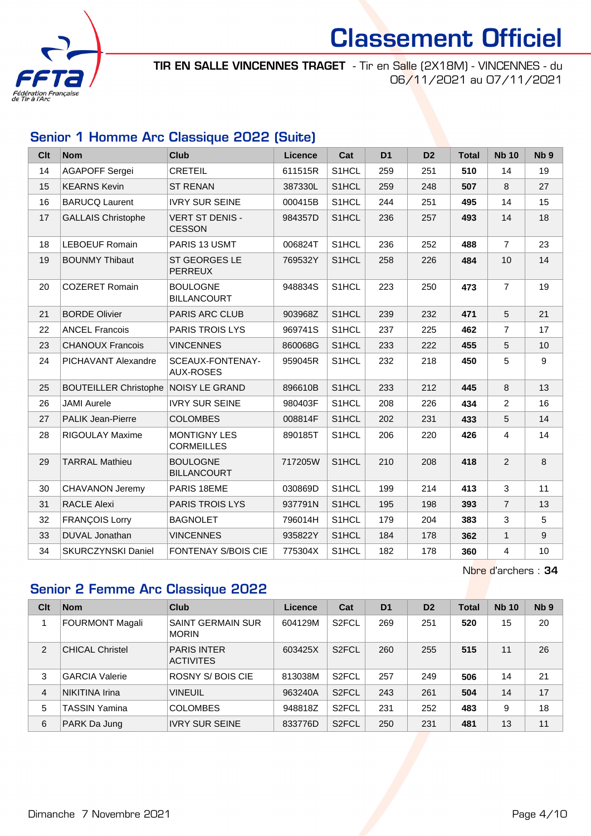

TIR EN SALLE VINCENNES TRAGET - Tir en Salle (2X18M) - VINCENNES - du 06/11/2021 au 07/11/2021

## Senior 1 Homme Arc Classique 2022 (Suite)

| <b>Clt</b> | <b>Nom</b>                   | <b>Club</b>                              | <b>Licence</b> | Cat   | D <sub>1</sub> | D <sub>2</sub> | <b>Total</b> | <b>Nb 10</b>   | Nb <sub>9</sub> |
|------------|------------------------------|------------------------------------------|----------------|-------|----------------|----------------|--------------|----------------|-----------------|
| 14         | <b>AGAPOFF Sergei</b>        | <b>CRETEIL</b>                           | 611515R        | S1HCL | 259            | 251            | 510          | 14             | 19              |
| 15         | <b>KEARNS Kevin</b>          | <b>ST RENAN</b>                          | 387330L        | S1HCL | 259            | 248            | 507          | 8              | 27              |
| 16         | <b>BARUCQ Laurent</b>        | <b>IVRY SUR SEINE</b>                    | 000415B        | S1HCL | 244            | 251            | 495          | 14             | 15              |
| 17         | <b>GALLAIS Christophe</b>    | <b>VERT ST DENIS -</b><br><b>CESSON</b>  | 984357D        | S1HCL | 236            | 257            | 493          | 14             | 18              |
| 18         | <b>LEBOEUF Romain</b>        | PARIS 13 USMT                            | 006824T        | S1HCL | 236            | 252            | 488          | $\overline{7}$ | 23              |
| 19         | <b>BOUNMY Thibaut</b>        | <b>ST GEORGES LE</b><br><b>PERREUX</b>   | 769532Y        | S1HCL | 258            | 226            | 484          | 10             | 14              |
| 20         | <b>COZERET Romain</b>        | <b>BOULOGNE</b><br><b>BILLANCOURT</b>    | 948834S        | S1HCL | 223            | 250            | 473          | $\overline{7}$ | 19              |
| 21         | <b>BORDE Olivier</b>         | <b>PARIS ARC CLUB</b>                    | 903968Z        | S1HCL | 239            | 232            | 471          | 5              | 21              |
| 22         | <b>ANCEL Francois</b>        | <b>PARIS TROIS LYS</b>                   | 969741S        | S1HCL | 237            | 225            | 462          | $\overline{7}$ | 17              |
| 23         | <b>CHANOUX Francois</b>      | <b>VINCENNES</b>                         | 860068G        | S1HCL | 233            | 222            | 455          | 5              | 10              |
| 24         | PICHAVANT Alexandre          | SCEAUX-FONTENAY-<br><b>AUX-ROSES</b>     | 959045R        | S1HCL | 232            | 218            | 450          | 5              | 9               |
| 25         | <b>BOUTEILLER Christophe</b> | <b>NOISY LE GRAND</b>                    | 896610B        | S1HCL | 233            | 212            | 445          | 8              | 13              |
| 26         | <b>JAMI Aurele</b>           | <b>IVRY SUR SEINE</b>                    | 980403F        | S1HCL | 208            | 226            | 434          | $\overline{2}$ | 16              |
| 27         | <b>PALIK Jean-Pierre</b>     | <b>COLOMBES</b>                          | 008814F        | S1HCL | 202            | 231            | 433          | 5              | 14              |
| 28         | <b>RIGOULAY Maxime</b>       | <b>MONTIGNY LES</b><br><b>CORMEILLES</b> | 890185T        | S1HCL | 206            | 220            | 426          | 4              | 14              |
| 29         | <b>TARRAL Mathieu</b>        | <b>BOULOGNE</b><br><b>BILLANCOURT</b>    | 717205W        | S1HCL | 210            | 208            | 418          | 2              | 8               |
| 30         | <b>CHAVANON Jeremy</b>       | PARIS 18EME                              | 030869D        | S1HCL | 199            | 214            | 413          | 3              | 11              |
| 31         | <b>RACLE Alexi</b>           | <b>PARIS TROIS LYS</b>                   | 937791N        | S1HCL | 195            | 198            | 393          | $\overline{7}$ | 13              |
| 32         | <b>FRANÇOIS Lorry</b>        | <b>BAGNOLET</b>                          | 796014H        | S1HCL | 179            | 204            | 383          | 3              | 5               |
| 33         | DUVAL Jonathan               | <b>VINCENNES</b>                         | 935822Y        | S1HCL | 184            | 178            | 362          | $\mathbf{1}$   | 9               |
| 34         | <b>SKURCZYNSKI Daniel</b>    | <b>FONTENAY S/BOIS CIE</b>               | 775304X        | S1HCL | 182            | 178            | 360          | 4              | 10              |

Nbre d'archers : 34

## Senior 2 Femme Arc Classique 2022

| Clt            | <b>Nom</b>             | Club                                     | Licence | Cat                | D <sub>1</sub> | D <sub>2</sub> | <b>Total</b> | <b>Nb 10</b> | N <sub>b</sub> <sub>9</sub> |
|----------------|------------------------|------------------------------------------|---------|--------------------|----------------|----------------|--------------|--------------|-----------------------------|
|                | <b>FOURMONT Magali</b> | <b>SAINT GERMAIN SUR</b><br><b>MORIN</b> | 604129M | S <sub>2</sub> FCL | 269            | 251            | 520          | 15           | 20                          |
| $\overline{2}$ | <b>CHICAL Christel</b> | <b>PARIS INTER</b><br><b>ACTIVITES</b>   | 603425X | S <sub>2</sub> FCL | 260            | 255            | 515          | 11           | 26                          |
| 3              | <b>GARCIA Valerie</b>  | ROSNY S/BOIS CIE                         | 813038M | S <sub>2</sub> FCL | 257            | 249            | 506          | 14           | 21                          |
| 4              | NIKITINA Irina         | <b>VINEUIL</b>                           | 963240A | S <sub>2</sub> FCL | 243            | 261            | 504          | 14           | 17                          |
| 5              | <b>TASSIN Yamina</b>   | <b>COLOMBES</b>                          | 948818Z | S <sub>2</sub> FCL | 231            | 252            | 483          | 9            | 18                          |
| 6              | PARK Da Jung           | <b>IVRY SUR SEINE</b>                    | 833776D | S <sub>2</sub> FCL | 250            | 231            | 481          | 13           | 11                          |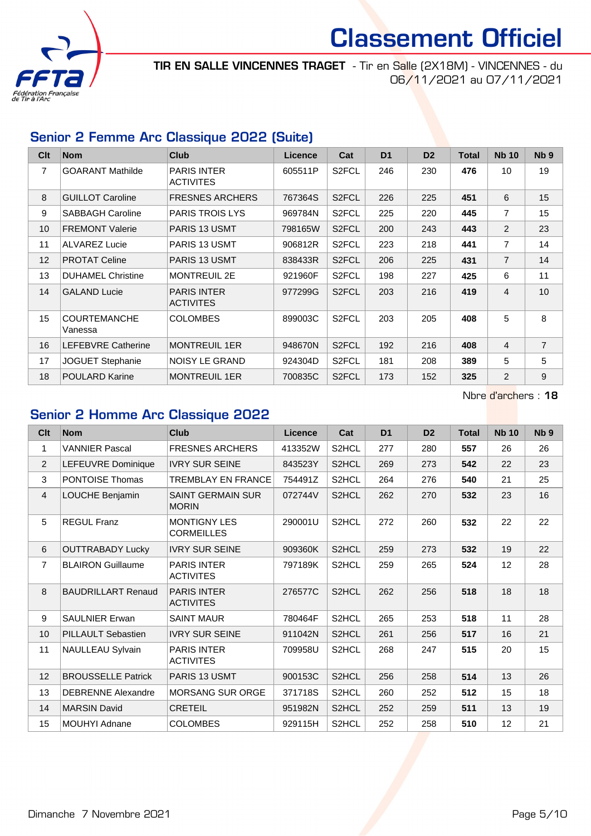

TIR EN SALLE VINCENNES TRAGET - Tir en Salle (2X18M) - VINCENNES - du 06/11/2021 au 07/11/2021

## Senior 2 Femme Arc Classique 2022 (Suite)

| Clt             | <b>Nom</b>                     | <b>Club</b>                            | <b>Licence</b> | Cat                | D <sub>1</sub> | D <sub>2</sub> | <b>Total</b> | <b>Nb 10</b>   | Nb <sub>9</sub> |
|-----------------|--------------------------------|----------------------------------------|----------------|--------------------|----------------|----------------|--------------|----------------|-----------------|
| 7               | <b>GOARANT Mathilde</b>        | <b>PARIS INTER</b><br><b>ACTIVITES</b> | 605511P        | S <sub>2</sub> FCL | 246            | 230            | 476          | 10             | 19              |
| 8               | <b>GUILLOT Caroline</b>        | <b>FRESNES ARCHERS</b>                 | 767364S        | S <sub>2</sub> FCL | 226            | 225            | 451          | 6              | 15              |
| 9               | <b>SABBAGH Caroline</b>        | <b>PARIS TROIS LYS</b>                 | 969784N        | S <sub>2</sub> FCL | 225            | 220            | 445          | $\overline{7}$ | 15              |
| 10 <sup>1</sup> | <b>FREMONT Valerie</b>         | <b>PARIS 13 USMT</b>                   | 798165W        | S <sub>2</sub> FCL | 200            | 243            | 443          | $\overline{2}$ | 23              |
| 11              | <b>ALVAREZ Lucie</b>           | PARIS 13 USMT                          | 906812R        | S <sub>2</sub> FCL | 223            | 218            | 441          | $\overline{7}$ | 14              |
| 12              | <b>PROTAT Celine</b>           | <b>PARIS 13 USMT</b>                   | 838433R        | S <sub>2</sub> FCL | 206            | 225            | 431          | $\overline{7}$ | 14              |
| 13              | <b>DUHAMEL Christine</b>       | <b>MONTREUIL 2E</b>                    | 921960F        | S <sub>2</sub> FCL | 198            | 227            | 425          | 6              | 11              |
| 14              | <b>GALAND Lucie</b>            | <b>PARIS INTER</b><br><b>ACTIVITES</b> | 977299G        | S <sub>2</sub> FCL | 203            | 216            | 419          | 4              | 10              |
| 15              | <b>COURTEMANCHE</b><br>Vanessa | <b>COLOMBES</b>                        | 899003C        | S <sub>2</sub> FCL | 203            | 205            | 408          | 5              | 8               |
| 16              | <b>LEFEBVRE Catherine</b>      | <b>MONTREUIL 1ER</b>                   | 948670N        | S <sub>2</sub> FCL | 192            | 216            | 408          | $\overline{4}$ | $\overline{7}$  |
| 17              | <b>JOGUET Stephanie</b>        | <b>NOISY LE GRAND</b>                  | 924304D        | S <sub>2</sub> FCL | 181            | 208            | 389          | 5              | 5               |
| 18              | <b>POULARD Karine</b>          | <b>MONTREUIL 1ER</b>                   | 700835C        | S <sub>2</sub> FCL | 173            | 152            | 325          | $\overline{2}$ | 9               |

Nbre d'archers : 18

## Senior 2 Homme Arc Classique 2022

| Clt            | <b>Nom</b>                | Club                                     | Licence | Cat                | D <sub>1</sub> | D <sub>2</sub> | <b>Total</b> | <b>Nb 10</b>      | Nb <sub>9</sub> |
|----------------|---------------------------|------------------------------------------|---------|--------------------|----------------|----------------|--------------|-------------------|-----------------|
| 1              | <b>VANNIER Pascal</b>     | <b>FRESNES ARCHERS</b>                   | 413352W | S2HCL              | 277            | 280            | 557          | 26                | 26              |
| 2              | LEFEUVRE Dominique        | <b>IVRY SUR SEINE</b>                    | 843523Y | S2HCL              | 269            | 273            | 542          | 22                | 23              |
| 3              | <b>PONTOISE Thomas</b>    | <b>TREMBLAY EN FRANCE</b>                | 754491Z | S <sub>2</sub> HCL | 264            | 276            | 540          | 21                | 25              |
| $\overline{4}$ | LOUCHE Benjamin           | <b>SAINT GERMAIN SUR</b><br><b>MORIN</b> | 072744V | S2HCL              | 262            | 270            | 532          | 23                | 16              |
| 5              | <b>REGUL Franz</b>        | <b>MONTIGNY LES</b><br><b>CORMEILLES</b> | 290001U | S2HCL              | 272            | 260            | 532          | 22                | 22              |
| 6              | <b>OUTTRABADY Lucky</b>   | <b>IVRY SUR SEINE</b>                    | 909360K | S2HCL              | 259            | 273            | 532          | 19                | 22              |
| $\overline{7}$ | <b>BLAIRON Guillaume</b>  | <b>PARIS INTER</b><br><b>ACTIVITES</b>   | 797189K | S <sub>2</sub> HCL | 259            | 265            | 524          | $12 \overline{ }$ | 28              |
| 8              | <b>BAUDRILLART Renaud</b> | <b>PARIS INTER</b><br><b>ACTIVITES</b>   | 276577C | S2HCL              | 262            | 256            | 518          | 18                | 18              |
| 9              | <b>SAULNIER Erwan</b>     | <b>SAINT MAUR</b>                        | 780464F | S <sub>2</sub> HCL | 265            | 253            | 518          | 11                | 28              |
| 10             | <b>PILLAULT Sebastien</b> | <b>IVRY SUR SEINE</b>                    | 911042N | S2HCL              | 261            | 256            | 517          | 16                | 21              |
| 11             | <b>NAULLEAU Sylvain</b>   | <b>PARIS INTER</b><br><b>ACTIVITES</b>   | 709958U | S <sub>2</sub> HCL | 268            | 247            | 515          | 20                | 15              |
| 12             | <b>BROUSSELLE Patrick</b> | PARIS 13 USMT                            | 900153C | S2HCL              | 256            | 258            | 514          | 13                | 26              |
| 13             | <b>DEBRENNE Alexandre</b> | <b>MORSANG SUR ORGE</b>                  | 371718S | S2HCL              | 260            | 252            | 512          | 15                | 18              |
| 14             | <b>MARSIN David</b>       | <b>CRETEIL</b>                           | 951982N | S2HCL              | 252            | 259            | 511          | 13                | 19              |
| 15             | <b>MOUHYI Adnane</b>      | <b>COLOMBES</b>                          | 929115H | S <sub>2</sub> HCL | 252            | 258            | 510          | 12                | 21              |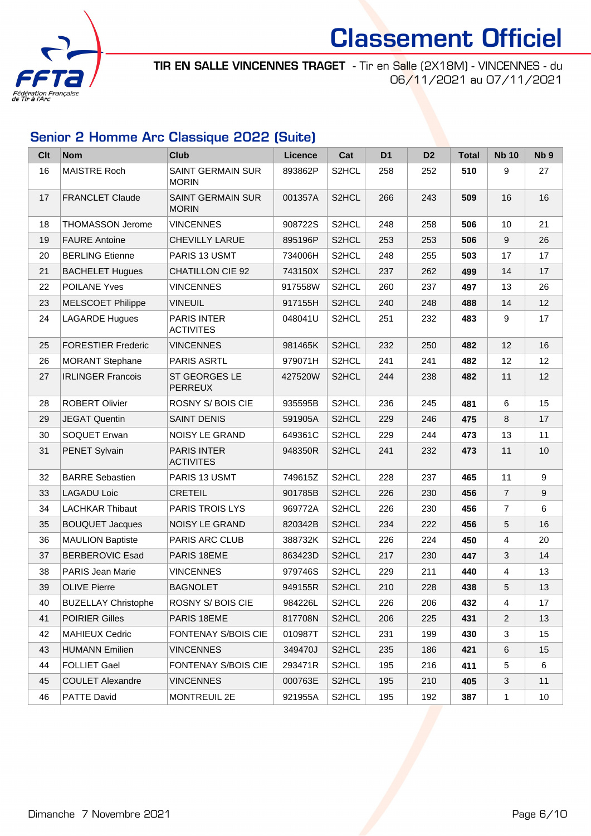

TIR EN SALLE VINCENNES TRAGET - Tir en Salle (2X18M) - VINCENNES - du 06/11/2021 au 07/11/2021

## Senior 2 Homme Arc Classique 2022 (Suite)

| <b>Clt</b> | <b>Nom</b>                 | <b>Club</b>                              | Licence | Cat                | D <sub>1</sub> | D <sub>2</sub> | <b>Total</b> | <b>Nb 10</b>   | Nb <sub>9</sub> |
|------------|----------------------------|------------------------------------------|---------|--------------------|----------------|----------------|--------------|----------------|-----------------|
| 16         | <b>MAISTRE Roch</b>        | <b>SAINT GERMAIN SUR</b><br><b>MORIN</b> | 893862P | S2HCL              | 258            | 252            | 510          | 9              | 27              |
| 17         | <b>FRANCLET Claude</b>     | <b>SAINT GERMAIN SUR</b><br><b>MORIN</b> | 001357A | S2HCL              | 266            | 243            | 509          | 16             | 16              |
| 18         | <b>THOMASSON Jerome</b>    | <b>VINCENNES</b>                         | 908722S | S2HCL              | 248            | 258            | 506          | 10             | 21              |
| 19         | <b>FAURE Antoine</b>       | <b>CHEVILLY LARUE</b>                    | 895196P | S <sub>2</sub> HCL | 253            | 253            | 506          | 9              | 26              |
| 20         | <b>BERLING Etienne</b>     | PARIS 13 USMT                            | 734006H | S2HCL              | 248            | 255            | 503          | 17             | 17              |
| 21         | <b>BACHELET Hugues</b>     | <b>CHATILLON CIE 92</b>                  | 743150X | S <sub>2</sub> HCL | 237            | 262            | 499          | 14             | 17              |
| 22         | <b>POILANE Yves</b>        | <b>VINCENNES</b>                         | 917558W | S <sub>2</sub> HCL | 260            | 237            | 497          | 13             | 26              |
| 23         | <b>MELSCOET Philippe</b>   | <b>VINEUIL</b>                           | 917155H | S2HCL              | 240            | 248            | 488          | 14             | 12              |
| 24         | <b>LAGARDE Hugues</b>      | <b>PARIS INTER</b><br><b>ACTIVITES</b>   | 048041U | S <sub>2</sub> HCL | 251            | 232            | 483          | 9              | 17              |
| 25         | <b>FORESTIER Frederic</b>  | <b>VINCENNES</b>                         | 981465K | S2HCL              | 232            | 250            | 482          | 12             | 16              |
| 26         | <b>MORANT Stephane</b>     | <b>PARIS ASRTL</b>                       | 979071H | S2HCL              | 241            | 241            | 482          | 12             | 12              |
| 27         | <b>IRLINGER Francois</b>   | ST GEORGES LE<br><b>PERREUX</b>          | 427520W | S <sub>2</sub> HCL | 244            | 238            | 482          | 11             | 12              |
| 28         | <b>ROBERT Olivier</b>      | ROSNY S/BOIS CIE                         | 935595B | S2HCL              | 236            | 245            | 481          | 6              | 15              |
| 29         | <b>JEGAT Quentin</b>       | <b>SAINT DENIS</b>                       | 591905A | S <sub>2</sub> HCL | 229            | 246            | 475          | 8              | 17              |
| 30         | SOQUET Erwan               | NOISY LE GRAND                           | 649361C | S2HCL              | 229            | 244            | 473          | 13             | 11              |
| 31         | <b>PENET Sylvain</b>       | <b>PARIS INTER</b><br><b>ACTIVITES</b>   | 948350R | S2HCL              | 241            | 232            | 473          | 11             | 10              |
| 32         | <b>BARRE Sebastien</b>     | PARIS 13 USMT                            | 749615Z | S2HCL              | 228            | 237            | 465          | 11             | 9               |
| 33         | <b>LAGADU Loic</b>         | <b>CRETEIL</b>                           | 901785B | S2HCL              | 226            | 230            | 456          | $\overline{7}$ | 9               |
| 34         | <b>LACHKAR Thibaut</b>     | PARIS TROIS LYS                          | 969772A | S2HCL              | 226            | 230            | 456          | $\overline{7}$ | 6               |
| 35         | <b>BOUQUET Jacques</b>     | NOISY LE GRAND                           | 820342B | S <sub>2</sub> HCL | 234            | 222            | 456          | 5              | 16              |
| 36         | <b>MAULION Baptiste</b>    | PARIS ARC CLUB                           | 388732K | S2HCL              | 226            | 224            | 450          | $\overline{4}$ | 20              |
| 37         | <b>BERBEROVIC Esad</b>     | PARIS 18EME                              | 863423D | S2HCL              | 217            | 230            | 447          | 3              | 14              |
| 38         | <b>PARIS Jean Marie</b>    | <b>VINCENNES</b>                         | 979746S | S2HCL              | 229            | 211            | 440          | 4              | 13              |
| 39         | <b>OLIVE Pierre</b>        | <b>BAGNOLET</b>                          | 949155R | S <sub>2</sub> HCL | 210            | 228            | 438          | $\overline{5}$ | 13              |
| 40         | <b>BUZELLAY Christophe</b> | ROSNY S/BOIS CIE                         | 984226L | S2HCL              | 226            | 206            | 432          | 4              | 17              |
| 41         | <b>POIRIER Gilles</b>      | PARIS 18EME                              | 817708N | S2HCL              | 206            | 225            | 431          | $\overline{2}$ | 13              |
| 42         | <b>MAHIEUX Cedric</b>      | FONTENAY S/BOIS CIE                      | 010987T | S <sub>2</sub> HCL | 231            | 199            | 430          | 3              | 15              |
| 43         | <b>HUMANN Emilien</b>      | <b>VINCENNES</b>                         | 349470J | S2HCL              | 235            | 186            | 421          | 6              | 15              |
| 44         | <b>FOLLIET Gael</b>        | FONTENAY S/BOIS CIE                      | 293471R | S2HCL              | 195            | 216            | 411          | 5              | 6               |
| 45         | <b>COULET Alexandre</b>    | <b>VINCENNES</b>                         | 000763E | S2HCL              | 195            | 210            | 405          | 3              | 11              |
| 46         | PATTE David                | <b>MONTREUIL 2E</b>                      | 921955A | S2HCL              | 195            | 192            | 387          | $\mathbf{1}$   | 10              |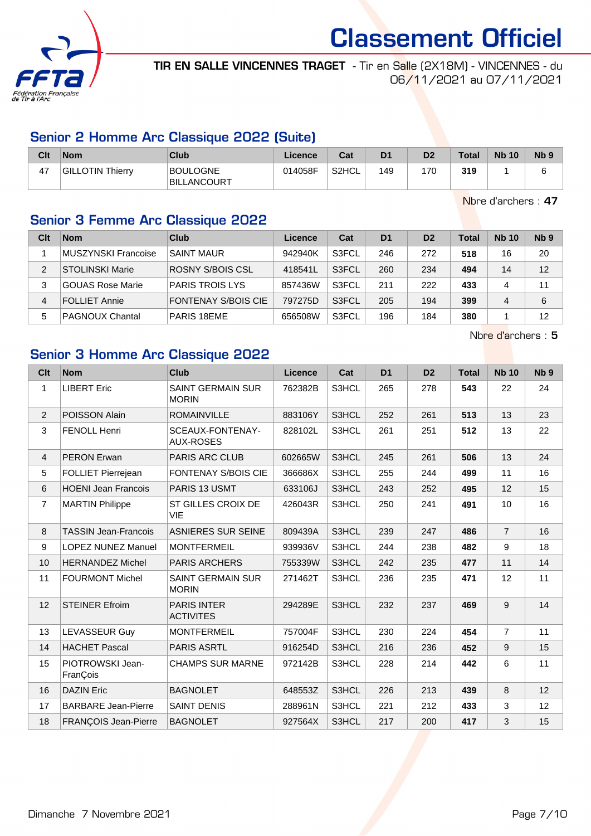

TIR EN SALLE VINCENNES TRAGET - Tir en Salle (2X18M) - VINCENNES - du 06/11/2021 au 07/11/2021

## Senior 2 Homme Arc Classique 2022 (Suite)

| Clt | <b>Nom</b>              | Club                           | ∟icence∴ | Cat   | D <sub>1</sub> | D <sub>2</sub> | <b>Total</b> | <b>Nb 10</b> | <b>N<sub>b</sub></b> |
|-----|-------------------------|--------------------------------|----------|-------|----------------|----------------|--------------|--------------|----------------------|
| 47  | <b>GILLOTIN Thierry</b> | BOULOGNE<br><b>BILLANCOURT</b> | 014058F  | S2HCL | 149            | 170            | 319          |              |                      |

Nbre d'archers : 47

## Senior 3 Femme Arc Classique 2022

| Clt | <b>Nom</b>                 | Club                       | Licence | Cat   | D <sub>1</sub> | D <sub>2</sub> | <b>Total</b> | <b>Nb 10</b> | Nb <sub>9</sub> |
|-----|----------------------------|----------------------------|---------|-------|----------------|----------------|--------------|--------------|-----------------|
|     | <b>MUSZYNSKI Francoise</b> | <b>SAINT MAUR</b>          | 942940K | S3FCL | 246            | 272            | 518          | 16           | 20              |
| 2   | <b>STOLINSKI Marie</b>     | ROSNY S/BOIS CSL           | 418541L | S3FCL | 260            | 234            | 494          | 14           | 12              |
| 3   | <b>GOUAS Rose Marie</b>    | <b>PARIS TROIS LYS</b>     | 857436W | S3FCL | 211            | 222            | 433          | 4            | 11              |
| 4   | <b>FOLLIET Annie</b>       | <b>FONTENAY S/BOIS CIE</b> | 797275D | S3FCL | 205            | 194            | 399          | 4            | 6               |
| 5   | <b>PAGNOUX Chantal</b>     | PARIS 18EME                | 656508W | S3FCL | 196            | 184            | 380          |              | 12              |

Nbre d'archers : 5

## Senior 3 Homme Arc Classique 2022

| Clt            | <b>Nom</b>                   | Club                                     | <b>Licence</b> | Cat   | D <sub>1</sub> | D <sub>2</sub> | <b>Total</b> | <b>Nb 10</b>   | N <sub>b</sub> <sub>9</sub> |
|----------------|------------------------------|------------------------------------------|----------------|-------|----------------|----------------|--------------|----------------|-----------------------------|
| 1              | <b>LIBERT Eric</b>           | <b>SAINT GERMAIN SUR</b><br><b>MORIN</b> | 762382B        | S3HCL | 265            | 278            | 543          | 22             | 24                          |
| $\overline{2}$ | POISSON Alain                | <b>ROMAINVILLE</b>                       | 883106Y        | S3HCL | 252            | 261            | 513          | 13             | 23                          |
| 3              | FENOLL Henri                 | SCEAUX-FONTENAY-<br><b>AUX-ROSES</b>     | 828102L        | S3HCL | 261            | 251            | 512          | 13             | 22                          |
| $\overline{4}$ | <b>PERON Erwan</b>           | PARIS ARC CLUB                           | 602665W        | S3HCL | 245            | 261            | 506          | 13             | 24                          |
| 5              | FOLLIET Pierrejean           | <b>FONTENAY S/BOIS CIE</b>               | 366686X        | S3HCL | 255            | 244            | 499          | 11             | 16                          |
| 6              | <b>HOENI Jean Francois</b>   | PARIS 13 USMT                            | 633106J        | S3HCL | 243            | 252            | 495          | 12             | 15                          |
| $\overline{7}$ | <b>MARTIN Philippe</b>       | ST GILLES CROIX DE<br><b>VIE</b>         | 426043R        | S3HCL | 250            | 241            | 491          | 10             | 16                          |
| 8              | <b>TASSIN Jean-Francois</b>  | <b>ASNIERES SUR SEINE</b>                | 809439A        | S3HCL | 239            | 247            | 486          | $\overline{7}$ | 16                          |
| 9              | <b>LOPEZ NUNEZ Manuel</b>    | <b>MONTFERMEIL</b>                       | 939936V        | S3HCL | 244            | 238            | 482          | 9              | 18                          |
| 10             | <b>HERNANDEZ Michel</b>      | <b>PARIS ARCHERS</b>                     | 755339W        | S3HCL | 242            | 235            | 477          | 11             | 14                          |
| 11             | <b>FOURMONT Michel</b>       | SAINT GERMAIN SUR<br><b>MORIN</b>        | 271462T        | S3HCL | 236            | 235            | 471          | 12             | 11                          |
| 12             | <b>STEINER Efroim</b>        | <b>PARIS INTER</b><br><b>ACTIVITES</b>   | 294289E        | S3HCL | 232            | 237            | 469          | 9              | 14                          |
| 13             | LEVASSEUR Guy                | <b>MONTFERMEIL</b>                       | 757004F        | S3HCL | 230            | 224            | 454          | $\overline{7}$ | 11                          |
| 14             | <b>HACHET Pascal</b>         | <b>PARIS ASRTL</b>                       | 916254D        | S3HCL | 216            | 236            | 452          | 9              | 15                          |
| 15             | PIOTROWSKI Jean-<br>FranÇois | <b>CHAMPS SUR MARNE</b>                  | 972142B        | S3HCL | 228            | 214            | 442          | 6              | 11                          |
| 16             | <b>DAZIN Eric</b>            | <b>BAGNOLET</b>                          | 648553Z        | S3HCL | 226            | 213            | 439          | 8              | 12                          |
| 17             | <b>BARBARE Jean-Pierre</b>   | <b>SAINT DENIS</b>                       | 288961N        | S3HCL | 221            | 212            | 433          | 3              | 12                          |
| 18             | <b>FRANÇOIS Jean-Pierre</b>  | <b>BAGNOLET</b>                          | 927564X        | S3HCL | 217            | 200            | 417          | 3              | 15                          |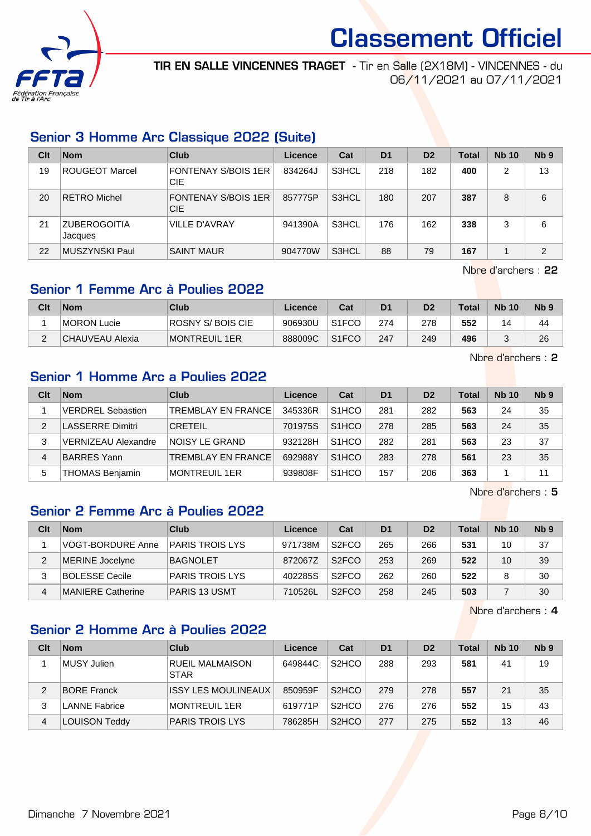

TIR EN SALLE VINCENNES TRAGET - Tir en Salle (2X18M) - VINCENNES - du 06/11/2021 au 07/11/2021

## Senior 3 Homme Arc Classique 2022 (Suite)

| Clt | <b>Nom</b>                     | <b>Club</b>                              | Licence | Cat   | D <sub>1</sub> | D <sub>2</sub> | Total | <b>Nb 10</b> | Nb <sub>9</sub> |
|-----|--------------------------------|------------------------------------------|---------|-------|----------------|----------------|-------|--------------|-----------------|
| 19  | <b>ROUGEOT Marcel</b>          | <b>FONTENAY S/BOIS 1ER</b><br>CIE        | 834264J | S3HCL | 218            | 182            | 400   | 2            | 13              |
| 20  | <b>RETRO Michel</b>            | <b>FONTENAY S/BOIS 1ER</b><br><b>CIE</b> | 857775P | S3HCL | 180            | 207            | 387   | 8            | 6               |
| 21  | <b>ZUBEROGOITIA</b><br>Jacques | <b>VILLE D'AVRAY</b>                     | 941390A | S3HCL | 176            | 162            | 338   | 3            | 6               |
| 22  | MUSZYNSKI Paul                 | <b>SAINT MAUR</b>                        | 904770W | S3HCL | 88             | 79             | 167   |              | $\overline{2}$  |

Nbre d'archers : 22

## Senior 1 Femme Arc à Poulies 2022

| Clt | <b>Nom</b>      | Club                 | Licence | Cat                | D1  | D2  | Total | <b>Nb 10</b> | N <sub>b</sub> <sub>9</sub> |
|-----|-----------------|----------------------|---------|--------------------|-----|-----|-------|--------------|-----------------------------|
|     | MORON Lucie     | ROSNY S/ BOIS CIE    | 906930U | S <sub>1</sub> FCO | 274 | 278 | 552   | 4            | 44                          |
|     | CHAUVEAU Alexia | <b>MONTREUIL 1ER</b> | 888009C | S <sub>1</sub> FCO | 247 | 249 | 496   |              | 26                          |

Nbre d'archers : 2

## Senior 1 Homme Arc a Poulies 2022

| Clt            | <b>Nom</b>                 | Club                      | Licence | Cat                | D <sub>1</sub> | D <sub>2</sub> | <b>Total</b> | <b>Nb 10</b> | Nb <sub>9</sub> |
|----------------|----------------------------|---------------------------|---------|--------------------|----------------|----------------|--------------|--------------|-----------------|
|                | <b>VERDREL Sebastien</b>   | <b>TREMBLAY EN FRANCE</b> | 345336R | S <sub>1</sub> HCO | 281            | 282            | 563          | 24           | 35              |
| $\mathfrak{p}$ | <b>LASSERRE Dimitri</b>    | <b>CRETEIL</b>            | 701975S | S <sub>1</sub> HCO | 278            | 285            | 563          | 24           | 35              |
| 3              | <b>VERNIZEAU Alexandre</b> | INOISY LE GRAND           | 932128H | S <sub>1</sub> HCO | 282            | 281            | 563          | 23           | 37              |
| 4              | <b>BARRES Yann</b>         | <b>TREMBLAY EN FRANCE</b> | 692988Y | S <sub>1</sub> HCO | 283            | 278            | 561          | 23           | 35              |
| 5              | <b>THOMAS Benjamin</b>     | MONTREUIL 1ER             | 939808F | S <sub>1</sub> HCO | 157            | 206            | 363          |              | 11              |

Nbre d'archers : 5

### Senior 2 Femme Arc à Poulies 2022

| Clt | <b>Nom</b>               | Club                   | Licence | Cat                | D <sub>1</sub> | D <sub>2</sub> | Total | <b>Nb 10</b> | N <sub>b</sub> <sub>9</sub> |
|-----|--------------------------|------------------------|---------|--------------------|----------------|----------------|-------|--------------|-----------------------------|
|     | <b>VOGT-BORDURE Anne</b> | <b>PARIS TROIS LYS</b> | 971738M | S <sub>2</sub> FCO | 265            | 266            | 531   | 10           | 37                          |
|     | <b>MERINE Jocelyne</b>   | <b>BAGNOLET</b>        | 872067Z | S <sub>2</sub> FCO | 253            | 269            | 522   | 10           | 39                          |
|     | <b>BOLESSE Cecile</b>    | <b>PARIS TROIS LYS</b> | 402285S | S <sub>2</sub> FCO | 262            | 260            | 522   |              | 30                          |
|     | <b>MANIERE Catherine</b> | <b>PARIS 13 USMT</b>   | 710526L | S <sub>2</sub> FCO | 258            | 245            | 503   |              | 30                          |

Nbre d'archers : 4

## Senior 2 Homme Arc à Poulies 2022

| Clt | <b>Nom</b>           | Club                                  | Licence | Cat                             | D <sub>1</sub> | D <sub>2</sub> | <b>Total</b> | <b>Nb 10</b> | N <sub>b</sub> <sub>9</sub> |
|-----|----------------------|---------------------------------------|---------|---------------------------------|----------------|----------------|--------------|--------------|-----------------------------|
|     | MUSY Julien          | <b>RUEIL MALMAISON</b><br><b>STAR</b> | 649844C | S <sub>2</sub> H <sub>C</sub> O | 288            | 293            | 581          | 41           | 19                          |
| 2   | <b>BORE Franck</b>   | IISSY LES MOULINEAUX                  | 850959F | S <sub>2</sub> H <sub>C</sub> O | 279            | 278            | 557          | 21           | 35                          |
| 3   | <b>LANNE Fabrice</b> | <b>MONTREUIL 1ER</b>                  | 619771P | S <sub>2</sub> H <sub>C</sub> O | 276            | 276            | 552          | 15           | 43                          |
| 4   | <b>LOUISON Teddy</b> | <b>PARIS TROIS LYS</b>                | 786285H | S <sub>2</sub> HCO              | 277            | 275            | 552          | 13           | 46                          |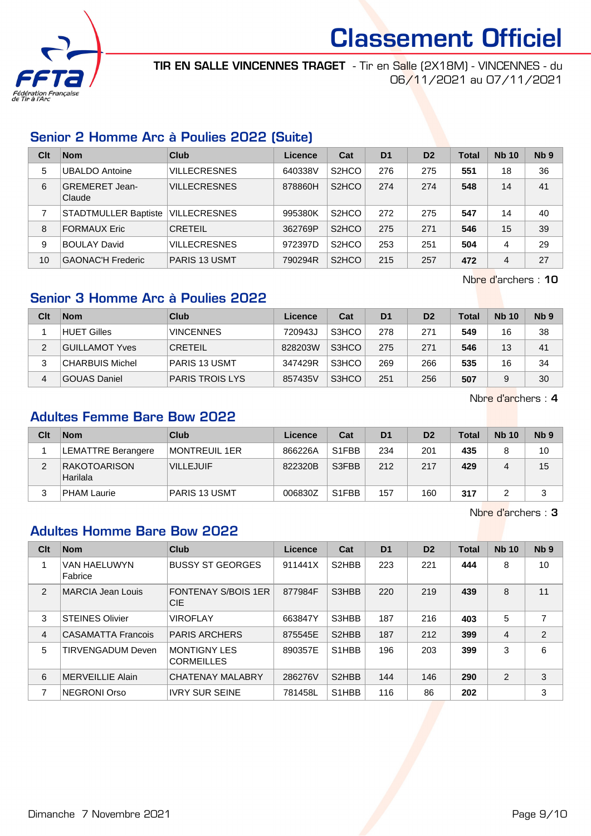

TIR EN SALLE VINCENNES TRAGET - Tir en Salle (2X18M) - VINCENNES - du 06/11/2021 au 07/11/2021

## Senior 2 Homme Arc à Poulies 2022 (Suite)

| Clt | <b>Nom</b>                      | Club                 | Licence | Cat                | D <sub>1</sub> | D <sub>2</sub> | Total | <b>Nb 10</b> | Nb <sub>9</sub> |
|-----|---------------------------------|----------------------|---------|--------------------|----------------|----------------|-------|--------------|-----------------|
| 5   | <b>UBALDO Antoine</b>           | <b>VILLECRESNES</b>  | 640338V | S <sub>2</sub> HCO | 276            | 275            | 551   | 18           | 36              |
| 6   | <b>GREMERET Jean-</b><br>Claude | <b>VILLECRESNES</b>  | 878860H | S <sub>2</sub> HCO | 274            | 274            | 548   | 14           | 41              |
|     | <b>STADTMULLER Baptiste</b>     | <b>VILLECRESNES</b>  | 995380K | S <sub>2</sub> HCO | 272            | 275            | 547   | 14           | 40              |
| 8   | <b>FORMAUX Eric</b>             | <b>CRETEIL</b>       | 362769P | S <sub>2</sub> HCO | 275            | 271            | 546   | 15           | 39              |
| 9   | <b>BOULAY David</b>             | <b>VILLECRESNES</b>  | 972397D | S <sub>2</sub> HCO | 253            | 251            | 504   | 4            | 29              |
| 10  | <b>GAONAC'H Frederic</b>        | <b>PARIS 13 USMT</b> | 790294R | S <sub>2</sub> HCO | 215            | 257            | 472   | 4            | 27              |

Nbre d'archers : 10

## Senior 3 Homme Arc à Poulies 2022

| Clt | <b>Nom</b>             | Club                   | Licence | Cat   | D <sub>1</sub> | D <sub>2</sub> | Total | <b>Nb 10</b> | Nb <sub>9</sub> |
|-----|------------------------|------------------------|---------|-------|----------------|----------------|-------|--------------|-----------------|
|     | <b>HUET Gilles</b>     | <b>VINCENNES</b>       | 720943J | S3HCO | 278            | 271            | 549   | 16           | 38              |
| 2   | <b>GUILLAMOT Yves</b>  | <b>CRETEIL</b>         | 828203W | S3HCO | 275            | 271            | 546   | 13           | 41              |
| 3   | <b>CHARBUIS Michel</b> | <b>PARIS 13 USMT</b>   | 347429R | S3HCO | 269            | 266            | 535   | 16           | 34              |
| 4   | <b>GOUAS Daniel</b>    | <b>PARIS TROIS LYS</b> | 857435V | S3HCO | 251            | 256            | 507   |              | 30              |

Nbre d'archers : 4

## Adultes Femme Bare Bow 2022

| Clt | <b>Nom</b>                | <b>Club</b>          | Licence | Cat                | D <sub>1</sub> | D <sub>2</sub> | <b>Total</b> | <b>Nb 10</b> | Nb <sub>9</sub> |
|-----|---------------------------|----------------------|---------|--------------------|----------------|----------------|--------------|--------------|-----------------|
|     | LEMATTRE Berangere        | MONTREUIL 1ER        | 866226A | S <sub>1</sub> FBB | 234            | 201            | 435          |              | 10              |
|     | RAKOTOARISON <br>Harilala | <b>VILLEJUIF</b>     | 822320B | S3FBB              | 212            | 217            | 429          |              | 15              |
|     | <b>PHAM Laurie</b>        | <b>PARIS 13 USMT</b> | 006830Z | S <sub>1</sub> FBB | 157            | 160            | 317          |              |                 |

Nbre d'archers : 3

## Adultes Homme Bare Bow 2022

| Clt | <b>Nom</b>                | Club                                     | Licence | Cat                             | D <sub>1</sub> | D <sub>2</sub> | Total | <b>Nb 10</b> | N <sub>b</sub> <sub>9</sub> |
|-----|---------------------------|------------------------------------------|---------|---------------------------------|----------------|----------------|-------|--------------|-----------------------------|
|     | VAN HAELUWYN<br>Fabrice   | <b>BUSSY ST GEORGES</b>                  | 911441X | S <sub>2</sub> HBB              | 223            | 221            | 444   | 8            | 10                          |
| 2   | MARCIA Jean Louis         | <b>FONTENAY S/BOIS 1ER</b><br><b>CIE</b> | 877984F | S3HBB                           | 220            | 219            | 439   | 8            | 11                          |
| 3   | <b>STEINES Olivier</b>    | <b>VIROFLAY</b>                          | 663847Y | S3HBB                           | 187            | 216            | 403   | 5            |                             |
| 4   | <b>CASAMATTA Francois</b> | <b>PARIS ARCHERS</b>                     | 875545E | S <sub>2</sub> HBB              | 187            | 212            | 399   | 4            | $\overline{2}$              |
| 5   | <b>TIRVENGADUM Deven</b>  | <b>MONTIGNY LES</b><br><b>CORMEILLES</b> | 890357E | S <sub>1</sub> H <sub>B</sub> B | 196            | 203            | 399   | 3            | 6                           |
| 6   | <b>MERVEILLIE Alain</b>   | <b>CHATENAY MALABRY</b>                  | 286276V | S <sub>2</sub> HBB              | 144            | 146            | 290   | 2            | 3                           |
| 7   | NEGRONI Orso              | <b>IVRY SUR SEINE</b>                    | 781458L | S <sub>1</sub> H <sub>BB</sub>  | 116            | 86             | 202   |              | 3                           |